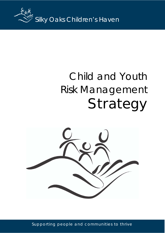

# Child and Youth Risk Management Strategy



Supporting people and communities to thrive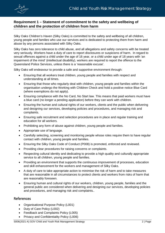

## **Requirement 1 – Statement of commitment to the safety and wellbeing of children and the protection of children from harm**

Silky Oaks Children's Haven (Silky Oaks) is committed to the safety and wellbeing of all children, young people and families who use our services and is dedicated to protecting them from harm and abuse by any persons associated with Silky Oaks.

Silky Oaks has zero tolerance to child abuse, and all allegations and safety concerns with be treated very seriously. Workers have a duty of care to report disclosures or suspicions of harm. In regard to sexual offences against a child under the age of 16 year, or a child under age of 18 years with 'an impairment of the mind' (intellectual disability), workers are required to report the offence to the Queensland Police Services, unless there is a 'reasonable excuse'.

Silky Oaks will endeavour to provide a safe and supportive environment through:

- Ensuring that all workers treat children, young people and families with respect and understanding at all times.
- Ensuring that those who regularly deal with children, young people and families within the organisation undergo the Working with Children Check and hold a positive notice Blue Card (where exemptions do not apply).
- Ensuring compliance with the No Card, No Start law. This means that paid workers must have a blue card (no longer a pending application) before they can work with children.
- Ensuring the human and cultural rights of our workers, clients and the public when delivering and designing our services, developing policies and procedures, and managing risk and complaints.
- Ensuring safe recruitment and selection procedures are in place and regular training and education for all workers.
- Prohibiting any form of abuse against children, young people and families.
- Appropriate use of language.
- Carefully selecting, screening and monitoring people whose roles require them to have regular contact with children, young people and families.
- Ensuring the Silky Oaks Code of Conduct (P008) is promoted, enforced and reviewed.
- Providing clear procedures for raising concerns or complaints.
- Respecting cultural identity and dedicating to provide a high quality and culturally appropriate service to all children, young people and families.
- Providing an environment that supports the continuous improvement of processes, education and skill enhancement for the workers and management of Silky Oaks.
- A duty of care to take appropriate action to minimise the risk of harm and to take measures that are reasonable in all circumstances to protect clients and workers from risks of harm that are reasonably foreseen.
- Ensuring human and cultural rights of our workers, children, young people, families and the general public are considered when delivering and designing our services, developing policies and procedures, and managing risk and complaints..

## References

- Organisational Purpose Policy (L001)
- Duty of Care Policy (L002)
- Feedback and Complaints Policy (L005)
- Privacy and Confidentiality Policy (L006)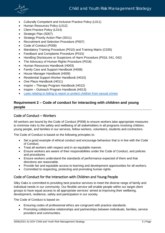

- Culturally Competent and Inclusive Practice Policy (L011)
- Human Resources Policy (L012)
- Client Practice Policy (L014)
- Strategic Plan (S007)
- Strategy Priority Action Plan (S011)
- Recruitment and Selection Procedure (P007)
- Code of Conduct (P008)
- Mandatory Training Procedure (P010) and Training Matrix (C035)
- Feedback and Complaints Procedure (P015)
- Handling Disclosures or Suspicions of Harm Procedure (P016, 041, 042)
- The Advocacy of Human Rights Procedure (P018)
- Human Resources Handbook (H003)
- Family Care and Support Handbook (H008)
- House Manager Handbook (H009)
- Residential Support Worker Handbook (H010)
- One Place Handbook (H011)
- Inspire Therapy Program Handbook (H012)
- Inspire Outreach Program Handbook (H013)
- [Laws relating to failing to report or protect children from sexual crimes](https://www.qld.gov.au/law/crime-and-police/types-of-crime/sexual-offences-against-children)

# **Requirement 2 – Code of conduct for interacting with children and young people**

## Code of Conduct – Workers

All workers are bound by the Code of Conduct (P008) to ensure workers take appropriate measures to minimise risks to the safety and wellbeing of all stakeholders in all programs involving children, young people, and families in our services, fellow workers, volunteers, students and contractors.

The Code of Conduct is based on the following principles to:

- Set a good example of ethical conduct and encourage behaviour that is in line with the Code of Conduct.
- Treat all workers with respect and in an equitable manner.
- Ensure workers are aware of their responsibilities under the Code of Conduct, and policies and procedures.
- Ensure workers understand the standards of performance expected of them and that directions are reasonable.
- Provide fair and equitable access to learning and development opportunities for all workers.
- Committed to respecting, protecting and promoting human rights.

# Code of Conduct for the Interaction with Children and Young People

Silky Oaks is committed to providing best practice services to meet the diverse range of family and individual needs in our community. Our flexible service will enable people within our target client groups to have equal access to all appropriate services' aimed at improving their wellbeing, development, resilience, safety and participation in our society

The Code of Conduct is based on:

- Ensuring codes of professional ethics are congruent with practice standards.
- Promoting collaborative relationships and partnerships between individuals, families, service providers and communities.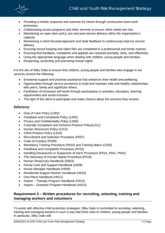

- Providing a holistic response and outcome for clients through constructive team work processes.
- Collaborating across programs and other services to ensure client needs are met.
- Maintaining an open door policy, pre and post service delivery within the organisation's capacity.
- Maintaining a client-focused approach and seek feedback to continuously improve service delivery.
- Ensuring record keeping and client files are completed in a professional and timely manner.
- Ensuring that feedback, complaints and appeals are resolved promptly, fairly, and effectively.
- Using the appropriate language when dealing with children, young people and families.
- Respecting, protecting and promoting human rights.

It is the aim of Silky Oaks to ensure that children, young people and families who engage in our services receive the following:

- Emotional support and practical assistance that enhances their health and wellbeing.
- Opportunities through service provisions to build and maintain safe and healthy relationships with peers, family and significant others.
- Facilitation of increased self-worth through participation in activities, education, learning opportunities and social inclusion.
- The right of the client to participate and make choices about the services they receive.

#### Reference

- Duty of Care Policy (L002)
- Feedback and Complaints Policy (L005)
- Privacy and Confidentiality Policy (L006)
- Culturally Competent and Inclusive Practice Policy(L011)
- Human Resources Policy (L012)
- Client Practice Policy (L014)
- Recruitment and Selection Procedure (P007)
- Code of Conduct (P008)
- Mandatory Training Procedure (P010) and Training Matrix (C035)
- Feedback and Complaints Procedure (P015)
- Handling Disclosures or Suspicions of Harm Procedure (P016, P041, P042)
- The Advocacy of Human Rights Procedure (P018)
- Human Resources Handbook (H003)
- Family Care and Support Handbook (H008)
- House Manager Handbook (H009)
- Residential Support Worker Handbook (H010)
- One Place Handbook (H011)
- Inspire Therapy Program Handbook (H012)
- Inspire Outreach Program Handbook (H013)

# **Requirement 3 – Written procedures for recruiting, selecting, training and managing workers and volunteers**

To assist with effective child protection strategies, Silky Oaks is committed to recruiting, selecting, training and managing workers in such a way that limits risks to children, young people and families. In particular, Silky Oaks will: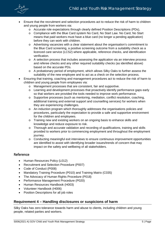

- Ensure that the recruitment and selection procedures act to reduce the risk of harm to children and young people from workers via:
	- o Accurate role expectations through clearly defined Position Descriptions (PDs),
	- o Compliance with the Blue Card system No Card, No Start Law. No Card, No Start means that paid workers must have a blue card (no longer a pending application) before they can work with children.
	- o Advertising vacancies with a clear statement about the organisation's commitment to the Blue Card screening, a positive screening outcome from a suitability check as a licenced care service (LCS2) where applicable, reference checks, and identification verification.
	- $\circ$  A selection process that includes assessing the application via an interview process and referee checks and any other required suitability checks (as identified above) based on the accurate PDs.
	- o A probationary period of employment, which allows Silky Oaks to further assess the suitability of the new employee and to act as a check on the selection process.
- Ensuring that training, coaching and management procedures act to reduce the risk of harm to children and young people from employees via:
	- o Management processes that are consistent, fair and supportive.
	- o Learning and development processes that proactively identify performance gaps early so that workers are provided the tools needed to improve work performance.
	- o Supportive processes (such as mentoring, mediation, conflict resolution, coaching, additional training and external support and counselling services) for workers when they are experiencing challenges.
	- o An induction program which thoroughly addresses the organisations policies and procedures, particularly the expectation to provide a safe and supportive environment for the children and employees.
	- o Training new and existing workers on an ongoing basis to enhance skills and knowledge and reduce exposure to risk.
	- o Thorough and accurate validation and recording of qualifications, training and skills provided to workers prior to commencing employment and throughout the employment journey.
	- o Conducting meaningful exit interviews to ensure continuous improvement opportunities are identified to assist with identifying broader issues/trends of concern that may impact on the safety and wellbeing of all stakeholders.

## Reference

- Human Resources Policy (L012)
- Recruitment and Selection Procedure (P007)
- Code of Conduct (P008)
- Mandatory Training Procedure (P010) and Training Matrix (C035)
- The Advocacy of Human Rights Procedure (P018)
- Performance Management Procedure (P020)
- Human Resources Handbook (H003)
- Volunteer Handbook (H006)
- Position Descriptions for all job roles

## **Requirement 4 – Handling disclosures or suspicions of harm**

Silky Oaks has zero tolerance towards harm and abuse to clients, including children and young people, related parties and workers.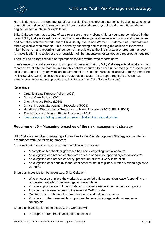

Harm is defined as 'any detrimental effect of a significant nature on a person's physical, psychological or emotional wellbeing'. Harm can result from physical abuse, psychological or emotional abuse, neglect, or sexual abuse or exploitation.

Silky Oaks workers have a duty of care to ensure that any client, child or young person placed in the care of Silky Oaks is cared for in a way that meets the organisations mission, vision and core values and complies with the Department of Child Safety, Youth and Women's Statement of Standards and other legislative requirements. This is done by observing and recording the actions of those who might be at risk, and reporting your concerns immediately to the line manager or program manager. An investigation into a disclosure or suspicion will be undertaken, escalated and reported as required.

There will be no ramifications or repercussions for a worker who reports harm.

In reference to sexual abuse and to comply with new legislation, Silky Oaks expects all workers must report a sexual offence that they reasonably believe occurred to a child under the age of 16 year, or a child under age of 18 years with 'an impairment of the mind' (intellectual disability) to the Queensland Police Service (QPS), unless there is a 'reasonable excuse' not to report (eg if the offence has already been reported to appropriate authorities such as Child Safety Services).

## Reference

- Organisational Purpose Policy (L001)
- Duty of Care Policy (L002)
- Client Practice Policy (L014)
- Critical Incident Management Procedure (P003)
- Handling of Disclosures or Suspicions of Harm Procedure (P016, P041, P042)
- The Advocacy of Human Rights Procedure (P018)
- [Laws relating to failing to report or protect children from sexual crimes](https://www.qld.gov.au/law/crime-and-police/types-of-crime/sexual-offences-against-children)

## **Requirement 5 – Managing breaches of the risk management strategy**

Silky Oaks is committed to ensuring all breaches to the Risk Management Strategy are handled in accordance with the following process:

An investigation may be required under the following situations:

- A complaint, feedback or grievance has been lodged against a worker/s.
- An allegation of a breach of standards of care or harm is reported against a worker/s.
- An allegation of a breach of policy, procedure, or lawful work instruction.
- An allegation of serious misconduct or other formal disciplinary matter is raised against a worker/s.

Should an investigation be necessary, Silky Oaks will:

- Where necessary, place the worker/s on a period paid suspension leave (depending on circumstances) whilst the investigation takes place
- Provide appropriate and timely updates to the worker/s involved in the investigation
- Provide the worker/s access to the external EAP provider
- Maintain strict confidentiality throughout all investigation processes
- Provide any other reasonable support mechanism within organisational resource constraints

Should an investigation be necessary, the worker/s will:

• Participate in required investigation processes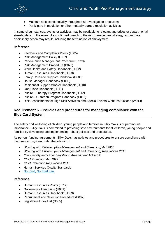

- Maintain strict confidentiality throughout all investigation processes
- Participate in mediation or other mutually agreed resolution activities

In some circumstances, events or activities may be notifiable to relevant authorities or departmental stakeholders. In the event of a confirmed breach to the risk management strategy, appropriate disciplinary action may result, including the termination of employment.

## Reference

- Feedback and Complaints Policy (L005)
- Risk Management Policy (L007)
- Performance Management Procedure (P020)
- Risk Management Procedure (P028)
- Work Health and Safety Handbook (H002)
- Human Resources Handbook (H003)
- Family Care and Support Handbook (H008)
- House Manager Handbook (H009)
- Residential Support Worker Handbook (H010)
- One Place Handbook (H011)
- Inspire Therapy Program Handbook (H012)
- Inspire Outreach Program Handbook (H013)
- Risk Assessments for High Risk Activities and Special Events Work Instructions (W014)

# **Requirement 6 – Policies and procedures for managing compliance with the Blue Card System**

The safety and wellbeing of children, young people and families in Silky Oaks is of paramount importance. Silky Oaks is committed to providing safe environments for all children, young people and families by developing and implementing robust policies and procedures.

As per our funding agreements, Silky Oaks has policies and procedures to ensure compliance with the blue card system under the following:

- *Working with Children (Risk Management and Screening) Act 2000*
- *Working with Children (Risk Management and Screening) Regulations 2011*
- *Civil Liability and Other Legislation Amendment Act 2019*
- *Child Protection Act 1999*
- *Child Protection Regulations 2011*
- Human Services Quality Standards
- [No Card, No Start Law](https://www.qld.gov.au/law/laws-regulated-industries-and-accountability/queensland-laws-and-regulations/regulated-industries-and-licensing/blue-card/system/review/no-card-no-start)

#### Reference

- Human Resources Policy (L012)
- Governance Handbook (H001)
- Human Resources Handbook (H003)
- Recruitment and Selection Procedure (P007)
- Legislative Index List (S005)